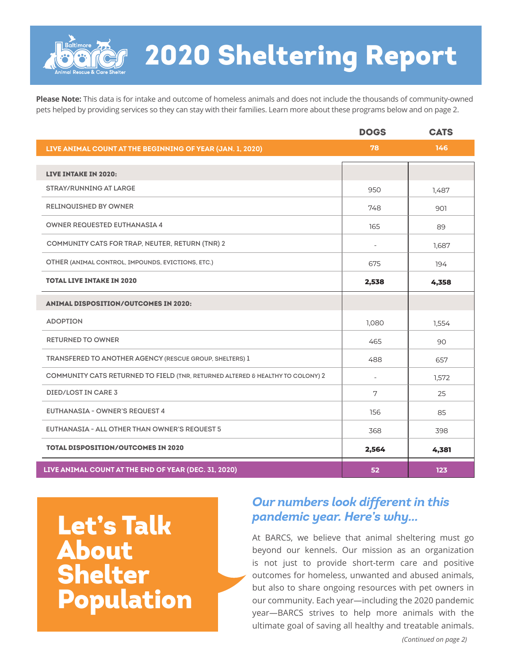

## 2020 Sheltering Report

**Please Note:** This data is for intake and outcome of homeless animals and does not include the thousands of community-owned pets helped by providing services so they can stay with their families. Learn more about these programs below and on page 2.

|                                                                                | <b>DOGS</b> | <b>CATS</b> |
|--------------------------------------------------------------------------------|-------------|-------------|
| LIVE ANIMAL COUNT AT THE BEGINNING OF YEAR (JAN. 1, 2020)                      | 78          | 146         |
|                                                                                |             |             |
| <b>LIVE INTAKE IN 2020:</b>                                                    |             |             |
| <b>STRAY/RUNNING AT LARGE</b>                                                  | 950         | 1,487       |
| <b>RELINQUISHED BY OWNER</b>                                                   | 748         | 901         |
| <b>OWNER REQUESTED EUTHANASIA 4</b>                                            | 165         | 89          |
| COMMUNITY CATS FOR TRAP, NEUTER, RETURN (TNR) 2                                |             | 1,687       |
| OTHER (ANIMAL CONTROL, IMPOUNDS, EVICTIONS, ETC.)                              | 675         | 194         |
| <b>TOTAL LIVE INTAKE IN 2020</b>                                               | 2,538       | 4,358       |
| <b>ANIMAL DISPOSITION/OUTCOMES IN 2020:</b>                                    |             |             |
| <b>ADOPTION</b>                                                                | 1,080       | 1,554       |
| <b>RETURNED TO OWNER</b>                                                       | 465         | 90          |
| TRANSFERED TO ANOTHER AGENCY (RESCUE GROUP, SHELTERS) 1                        | 488         | 657         |
| COMMUNITY CATS RETURNED TO FIELD (TNR, RETURNED ALTERED & HEALTHY TO COLONY) 2 |             | 1,572       |
| DIED/LOST IN CARE 3                                                            | 7           | 25          |
| <b>EUTHANASIA - OWNER'S REQUEST 4</b>                                          | 156         | 85          |
| EUTHANASIA - ALL OTHER THAN OWNER'S REQUEST 5                                  | 368         | 398         |
| <b>TOTAL DISPOSITION/OUTCOMES IN 2020</b>                                      | 2,564       | 4,381       |
| LIVE ANIMAL COUNT AT THE END OF YEAR (DEC. 31, 2020)                           | 52          | 123         |

**Let's Talk** About Shelter Population

## *Our numbers look different in this*

At BARCS, we believe that animal sheltering must go beyond our kennels. Our mission as an organization is not just to provide short-term care and positive outcomes for homeless, unwanted and abused animals, but also to share ongoing resources with pet owners in our community. Each year—including the 2020 pandemic year—BARCS strives to help more animals with the ultimate goal of saving all healthy and treatable animals.